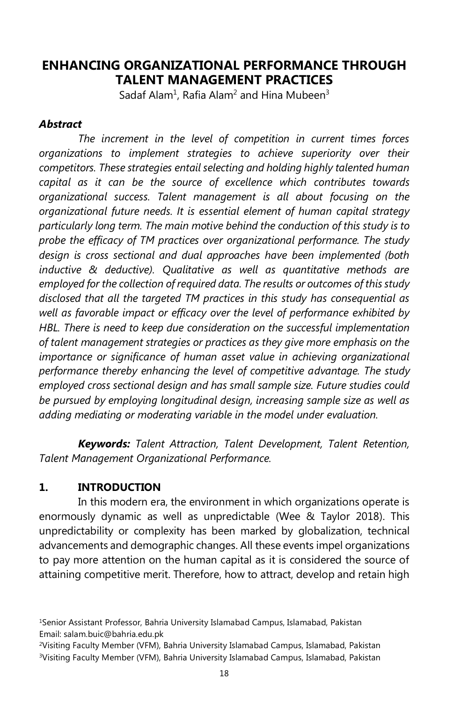## **ENHANCING ORGANIZATIONAL PERFORMANCE THROUGH TALENT MANAGEMENT PRACTICES**

Sadaf Alam<sup>1</sup>, Rafia Alam<sup>2</sup> and Hina Mubeen<sup>3</sup>

#### *Abstract*

*The increment in the level of competition in current times forces organizations to implement strategies to achieve superiority over their competitors. These strategies entail selecting and holding highly talented human capital as it can be the source of excellence which contributes towards organizational success. Talent management is all about focusing on the organizational future needs. It is essential element of human capital strategy particularly long term. The main motive behind the conduction of this study is to probe the efficacy of TM practices over organizational performance. The study design is cross sectional and dual approaches have been implemented (both inductive & deductive). Qualitative as well as quantitative methods are employed for the collection of required data. The results or outcomes of this study disclosed that all the targeted TM practices in this study has consequential as well as favorable impact or efficacy over the level of performance exhibited by HBL. There is need to keep due consideration on the successful implementation of talent management strategies or practices as they give more emphasis on the importance or significance of human asset value in achieving organizational performance thereby enhancing the level of competitive advantage. The study employed cross sectional design and has small sample size. Future studies could be pursued by employing longitudinal design, increasing sample size as well as adding mediating or moderating variable in the model under evaluation.* 

*Keywords: Talent Attraction, Talent Development, Talent Retention, Talent Management Organizational Performance.* 

#### **1. INTRODUCTION**

In this modern era, the environment in which organizations operate is enormously dynamic as well as unpredictable (Wee & Taylor 2018). This unpredictability or complexity has been marked by globalization, technical advancements and demographic changes. All these events impel organizations to pay more attention on the human capital as it is considered the source of attaining competitive merit. Therefore, how to attract, develop and retain high

<sup>1</sup>Senior Assistant Professor, Bahria University Islamabad Campus, Islamabad, Pakistan Email: salam.buic@bahria.edu.pk

<sup>2</sup>Visiting Faculty Member (VFM), Bahria University Islamabad Campus, Islamabad, Pakistan <sup>3</sup>Visiting Faculty Member (VFM), Bahria University Islamabad Campus, Islamabad, Pakistan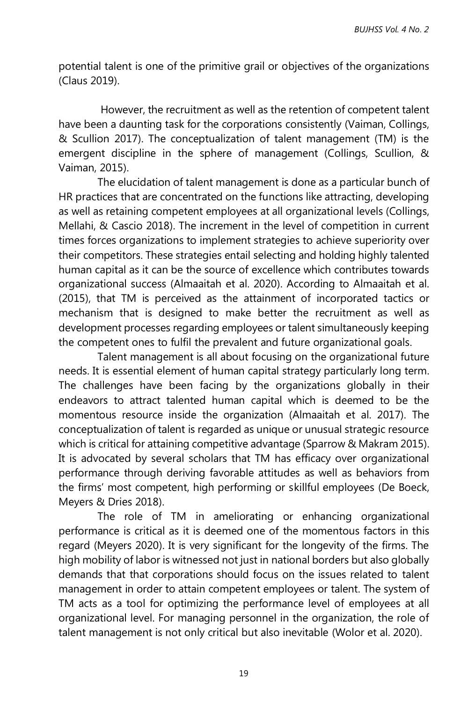potential talent is one of the primitive grail or objectives of the organizations (Claus 2019).

However, the recruitment as well as the retention of competent talent have been a daunting task for the corporations consistently (Vaiman, Collings, & Scullion 2017). The conceptualization of talent management (TM) is the emergent discipline in the sphere of management (Collings, Scullion, & Vaiman, 2015).

The elucidation of talent management is done as a particular bunch of HR practices that are concentrated on the functions like attracting, developing as well as retaining competent employees at all organizational levels (Collings, Mellahi, & Cascio 2018). The increment in the level of competition in current times forces organizations to implement strategies to achieve superiority over their competitors. These strategies entail selecting and holding highly talented human capital as it can be the source of excellence which contributes towards organizational success (Almaaitah et al. 2020). According to Almaaitah et al. (2015), that TM is perceived as the attainment of incorporated tactics or mechanism that is designed to make better the recruitment as well as development processes regarding employees or talent simultaneously keeping the competent ones to fulfil the prevalent and future organizational goals.

Talent management is all about focusing on the organizational future needs. It is essential element of human capital strategy particularly long term. The challenges have been facing by the organizations globally in their endeavors to attract talented human capital which is deemed to be the momentous resource inside the organization (Almaaitah et al. 2017). The conceptualization of talent is regarded as unique or unusual strategic resource which is critical for attaining competitive advantage (Sparrow & Makram 2015). It is advocated by several scholars that TM has efficacy over organizational performance through deriving favorable attitudes as well as behaviors from the firms' most competent, high performing or skillful employees (De Boeck, Meyers & Dries 2018).

The role of TM in ameliorating or enhancing organizational performance is critical as it is deemed one of the momentous factors in this regard (Meyers 2020). It is very significant for the longevity of the firms. The high mobility of labor is witnessed not just in national borders but also globally demands that that corporations should focus on the issues related to talent management in order to attain competent employees or talent. The system of TM acts as a tool for optimizing the performance level of employees at all organizational level. For managing personnel in the organization, the role of talent management is not only critical but also inevitable (Wolor et al. 2020).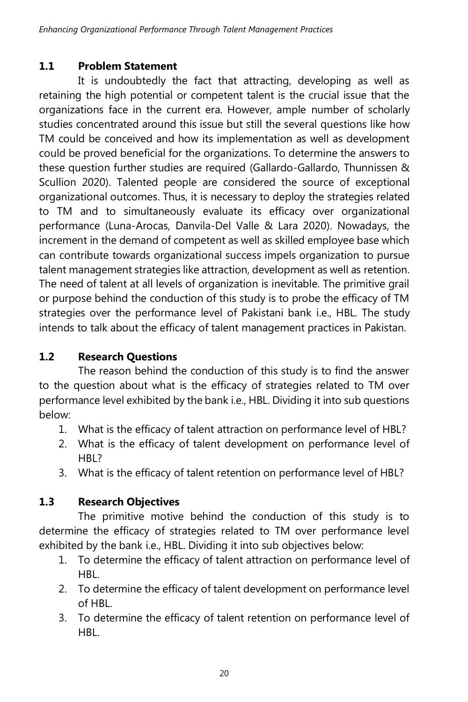## **1.1 Problem Statement**

It is undoubtedly the fact that attracting, developing as well as retaining the high potential or competent talent is the crucial issue that the organizations face in the current era. However, ample number of scholarly studies concentrated around this issue but still the several questions like how TM could be conceived and how its implementation as well as development could be proved beneficial for the organizations. To determine the answers to these question further studies are required (Gallardo-Gallardo, Thunnissen & Scullion 2020). Talented people are considered the source of exceptional organizational outcomes. Thus, it is necessary to deploy the strategies related to TM and to simultaneously evaluate its efficacy over organizational performance (Luna-Arocas, Danvila-Del Valle & Lara 2020). Nowadays, the increment in the demand of competent as well as skilled employee base which can contribute towards organizational success impels organization to pursue talent management strategies like attraction, development as well as retention. The need of talent at all levels of organization is inevitable. The primitive grail or purpose behind the conduction of this study is to probe the efficacy of TM strategies over the performance level of Pakistani bank i.e., HBL. The study intends to talk about the efficacy of talent management practices in Pakistan.

# **1.2 Research Questions**

The reason behind the conduction of this study is to find the answer to the question about what is the efficacy of strategies related to TM over performance level exhibited by the bank i.e., HBL. Dividing it into sub questions below:

- 1. What is the efficacy of talent attraction on performance level of HBL?
- 2. What is the efficacy of talent development on performance level of HBL?
- 3. What is the efficacy of talent retention on performance level of HBL?

# **1.3 Research Objectives**

The primitive motive behind the conduction of this study is to determine the efficacy of strategies related to TM over performance level exhibited by the bank i.e., HBL. Dividing it into sub objectives below:

- 1. To determine the efficacy of talent attraction on performance level of HBL.
- 2. To determine the efficacy of talent development on performance level of HBL.
- 3. To determine the efficacy of talent retention on performance level of HBL.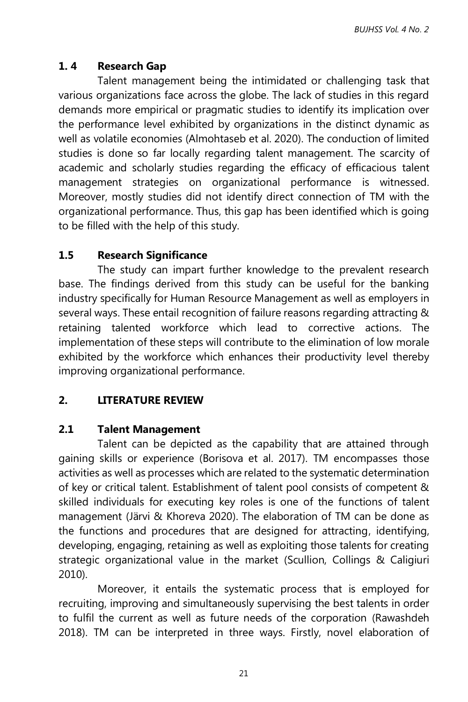## **1. 4 Research Gap**

Talent management being the intimidated or challenging task that various organizations face across the globe. The lack of studies in this regard demands more empirical or pragmatic studies to identify its implication over the performance level exhibited by organizations in the distinct dynamic as well as volatile economies (Almohtaseb et al. 2020). The conduction of limited studies is done so far locally regarding talent management. The scarcity of academic and scholarly studies regarding the efficacy of efficacious talent management strategies on organizational performance is witnessed. Moreover, mostly studies did not identify direct connection of TM with the organizational performance. Thus, this gap has been identified which is going to be filled with the help of this study.

# **1.5 Research Significance**

The study can impart further knowledge to the prevalent research base. The findings derived from this study can be useful for the banking industry specifically for Human Resource Management as well as employers in several ways. These entail recognition of failure reasons regarding attracting & retaining talented workforce which lead to corrective actions. The implementation of these steps will contribute to the elimination of low morale exhibited by the workforce which enhances their productivity level thereby improving organizational performance.

# **2. LITERATURE REVIEW**

## **2.1 Talent Management**

Talent can be depicted as the capability that are attained through gaining skills or experience (Borisova et al. 2017). TM encompasses those activities as well as processes which are related to the systematic determination of key or critical talent. Establishment of talent pool consists of competent & skilled individuals for executing key roles is one of the functions of talent management (Järvi & Khoreva 2020). The elaboration of TM can be done as the functions and procedures that are designed for attracting, identifying, developing, engaging, retaining as well as exploiting those talents for creating strategic organizational value in the market (Scullion, Collings & Caligiuri 2010).

Moreover, it entails the systematic process that is employed for recruiting, improving and simultaneously supervising the best talents in order to fulfil the current as well as future needs of the corporation (Rawashdeh 2018). TM can be interpreted in three ways. Firstly, novel elaboration of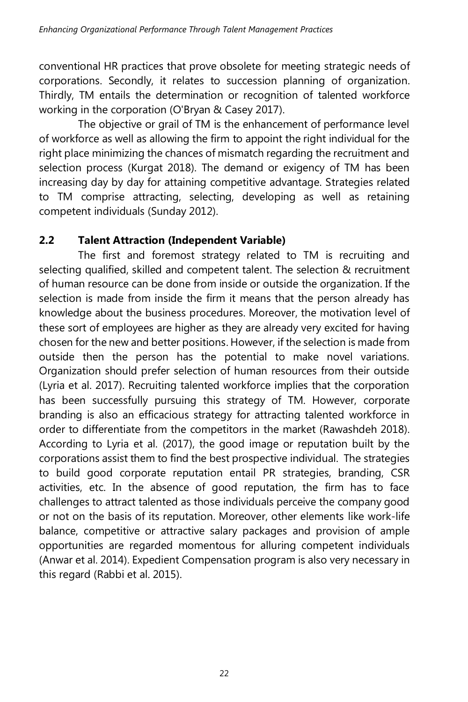conventional HR practices that prove obsolete for meeting strategic needs of corporations. Secondly, it relates to succession planning of organization. Thirdly, TM entails the determination or recognition of talented workforce working in the corporation (O'Bryan & Casey 2017).

The objective or grail of TM is the enhancement of performance level of workforce as well as allowing the firm to appoint the right individual for the right place minimizing the chances of mismatch regarding the recruitment and selection process (Kurgat 2018). The demand or exigency of TM has been increasing day by day for attaining competitive advantage. Strategies related to TM comprise attracting, selecting, developing as well as retaining competent individuals (Sunday 2012).

## **2.2 Talent Attraction (Independent Variable)**

The first and foremost strategy related to TM is recruiting and selecting qualified, skilled and competent talent. The selection & recruitment of human resource can be done from inside or outside the organization. If the selection is made from inside the firm it means that the person already has knowledge about the business procedures. Moreover, the motivation level of these sort of employees are higher as they are already very excited for having chosen for the new and better positions. However, if the selection is made from outside then the person has the potential to make novel variations. Organization should prefer selection of human resources from their outside (Lyria et al. 2017). Recruiting talented workforce implies that the corporation has been successfully pursuing this strategy of TM. However, corporate branding is also an efficacious strategy for attracting talented workforce in order to differentiate from the competitors in the market (Rawashdeh 2018). According to Lyria et al. (2017), the good image or reputation built by the corporations assist them to find the best prospective individual. The strategies to build good corporate reputation entail PR strategies, branding, CSR activities, etc. In the absence of good reputation, the firm has to face challenges to attract talented as those individuals perceive the company good or not on the basis of its reputation. Moreover, other elements like work-life balance, competitive or attractive salary packages and provision of ample opportunities are regarded momentous for alluring competent individuals (Anwar et al. 2014). Expedient Compensation program is also very necessary in this regard (Rabbi et al. 2015).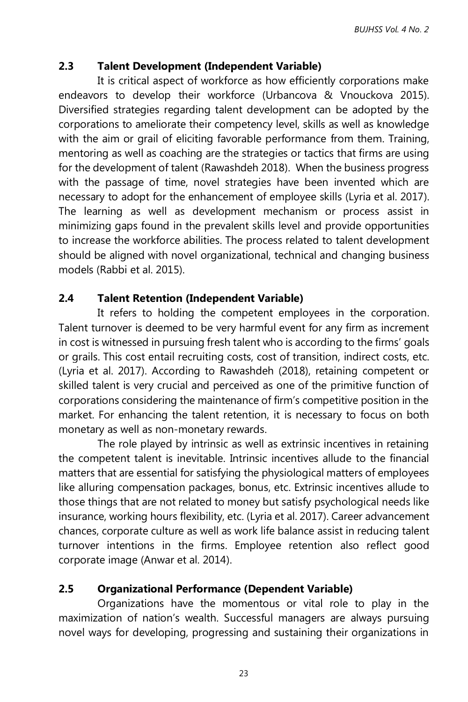### **2.3 Talent Development (Independent Variable)**

It is critical aspect of workforce as how efficiently corporations make endeavors to develop their workforce (Urbancova & Vnouckova 2015). Diversified strategies regarding talent development can be adopted by the corporations to ameliorate their competency level, skills as well as knowledge with the aim or grail of eliciting favorable performance from them. Training, mentoring as well as coaching are the strategies or tactics that firms are using for the development of talent (Rawashdeh 2018). When the business progress with the passage of time, novel strategies have been invented which are necessary to adopt for the enhancement of employee skills (Lyria et al. 2017). The learning as well as development mechanism or process assist in minimizing gaps found in the prevalent skills level and provide opportunities to increase the workforce abilities. The process related to talent development should be aligned with novel organizational, technical and changing business models (Rabbi et al. 2015).

#### **2.4 Talent Retention (Independent Variable)**

It refers to holding the competent employees in the corporation. Talent turnover is deemed to be very harmful event for any firm as increment in cost is witnessed in pursuing fresh talent who is according to the firms' goals or grails. This cost entail recruiting costs, cost of transition, indirect costs, etc. (Lyria et al. 2017). According to Rawashdeh (2018), retaining competent or skilled talent is very crucial and perceived as one of the primitive function of corporations considering the maintenance of firm's competitive position in the market. For enhancing the talent retention, it is necessary to focus on both monetary as well as non-monetary rewards.

The role played by intrinsic as well as extrinsic incentives in retaining the competent talent is inevitable. Intrinsic incentives allude to the financial matters that are essential for satisfying the physiological matters of employees like alluring compensation packages, bonus, etc. Extrinsic incentives allude to those things that are not related to money but satisfy psychological needs like insurance, working hours flexibility, etc. (Lyria et al. 2017). Career advancement chances, corporate culture as well as work life balance assist in reducing talent turnover intentions in the firms. Employee retention also reflect good corporate image (Anwar et al. 2014).

#### **2.5 Organizational Performance (Dependent Variable)**

Organizations have the momentous or vital role to play in the maximization of nation's wealth. Successful managers are always pursuing novel ways for developing, progressing and sustaining their organizations in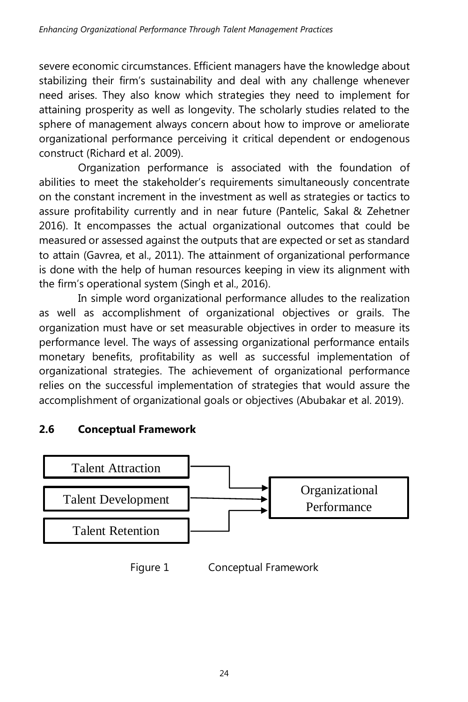severe economic circumstances. Efficient managers have the knowledge about stabilizing their firm's sustainability and deal with any challenge whenever need arises. They also know which strategies they need to implement for attaining prosperity as well as longevity. The scholarly studies related to the sphere of management always concern about how to improve or ameliorate organizational performance perceiving it critical dependent or endogenous construct (Richard et al. 2009).

Organization performance is associated with the foundation of abilities to meet the stakeholder's requirements simultaneously concentrate on the constant increment in the investment as well as strategies or tactics to assure profitability currently and in near future (Pantelic, Sakal & Zehetner 2016). It encompasses the actual organizational outcomes that could be measured or assessed against the outputs that are expected or set as standard to attain (Gavrea, et al., 2011). The attainment of organizational performance is done with the help of human resources keeping in view its alignment with the firm's operational system (Singh et al., 2016).

In simple word organizational performance alludes to the realization as well as accomplishment of organizational objectives or grails. The organization must have or set measurable objectives in order to measure its performance level. The ways of assessing organizational performance entails monetary benefits, profitability as well as successful implementation of organizational strategies. The achievement of organizational performance relies on the successful implementation of strategies that would assure the accomplishment of organizational goals or objectives (Abubakar et al. 2019).

# **2.6 Conceptual Framework**



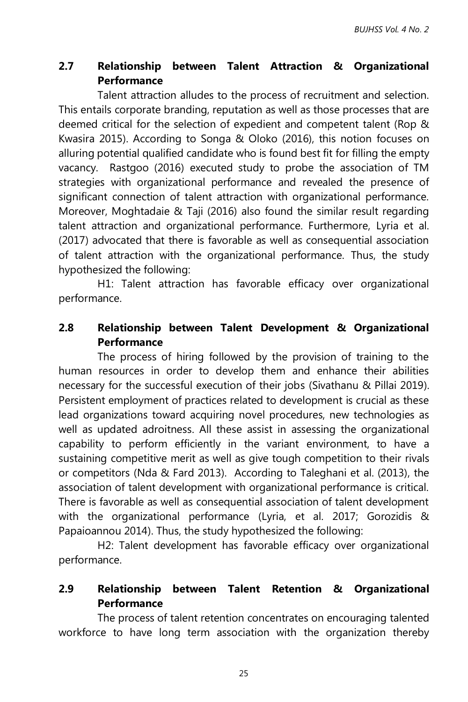### **2.7 Relationship between Talent Attraction & Organizational Performance**

Talent attraction alludes to the process of recruitment and selection. This entails corporate branding, reputation as well as those processes that are deemed critical for the selection of expedient and competent talent (Rop & Kwasira 2015). According to Songa & Oloko (2016), this notion focuses on alluring potential qualified candidate who is found best fit for filling the empty vacancy. Rastgoo (2016) executed study to probe the association of TM strategies with organizational performance and revealed the presence of significant connection of talent attraction with organizational performance. Moreover, Moghtadaie & Taji (2016) also found the similar result regarding talent attraction and organizational performance. Furthermore, Lyria et al. (2017) advocated that there is favorable as well as consequential association of talent attraction with the organizational performance. Thus, the study hypothesized the following:

H1: Talent attraction has favorable efficacy over organizational performance.

### **2.8 Relationship between Talent Development & Organizational Performance**

The process of hiring followed by the provision of training to the human resources in order to develop them and enhance their abilities necessary for the successful execution of their jobs (Sivathanu & Pillai 2019). Persistent employment of practices related to development is crucial as these lead organizations toward acquiring novel procedures, new technologies as well as updated adroitness. All these assist in assessing the organizational capability to perform efficiently in the variant environment, to have a sustaining competitive merit as well as give tough competition to their rivals or competitors (Nda & Fard 2013). According to Taleghani et al. (2013), the association of talent development with organizational performance is critical. There is favorable as well as consequential association of talent development with the organizational performance (Lyria, et al. 2017; Gorozidis & Papaioannou 2014). Thus, the study hypothesized the following:

H2: Talent development has favorable efficacy over organizational performance.

#### **2.9 Relationship between Talent Retention & Organizational Performance**

The process of talent retention concentrates on encouraging talented workforce to have long term association with the organization thereby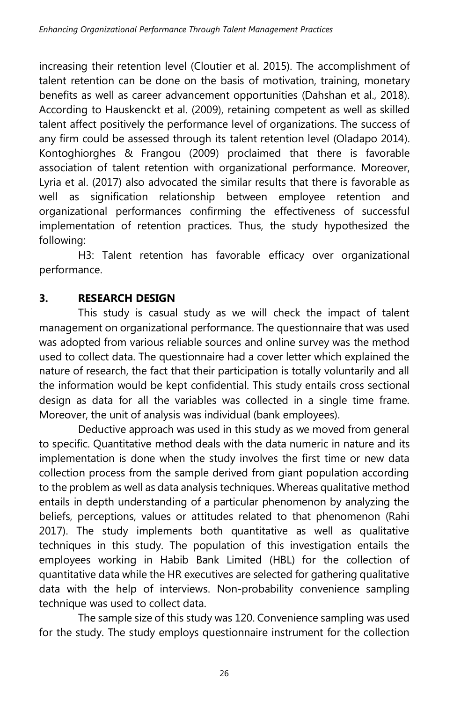increasing their retention level (Cloutier et al. 2015). The accomplishment of talent retention can be done on the basis of motivation, training, monetary benefits as well as career advancement opportunities (Dahshan et al., 2018). According to Hauskenckt et al. (2009), retaining competent as well as skilled talent affect positively the performance level of organizations. The success of any firm could be assessed through its talent retention level (Oladapo 2014). Kontoghiorghes & Frangou (2009) proclaimed that there is favorable association of talent retention with organizational performance. Moreover, Lyria et al. (2017) also advocated the similar results that there is favorable as well as signification relationship between employee retention and organizational performances confirming the effectiveness of successful implementation of retention practices. Thus, the study hypothesized the following:

H3: Talent retention has favorable efficacy over organizational performance.

# **3. RESEARCH DESIGN**

This study is casual study as we will check the impact of talent management on organizational performance. The questionnaire that was used was adopted from various reliable sources and online survey was the method used to collect data. The questionnaire had a cover letter which explained the nature of research, the fact that their participation is totally voluntarily and all the information would be kept confidential. This study entails cross sectional design as data for all the variables was collected in a single time frame. Moreover, the unit of analysis was individual (bank employees).

Deductive approach was used in this study as we moved from general to specific. Quantitative method deals with the data numeric in nature and its implementation is done when the study involves the first time or new data collection process from the sample derived from giant population according to the problem as well as data analysis techniques. Whereas qualitative method entails in depth understanding of a particular phenomenon by analyzing the beliefs, perceptions, values or attitudes related to that phenomenon (Rahi 2017). The study implements both quantitative as well as qualitative techniques in this study. The population of this investigation entails the employees working in Habib Bank Limited (HBL) for the collection of quantitative data while the HR executives are selected for gathering qualitative data with the help of interviews. Non-probability convenience sampling technique was used to collect data.

The sample size of this study was 120. Convenience sampling was used for the study. The study employs questionnaire instrument for the collection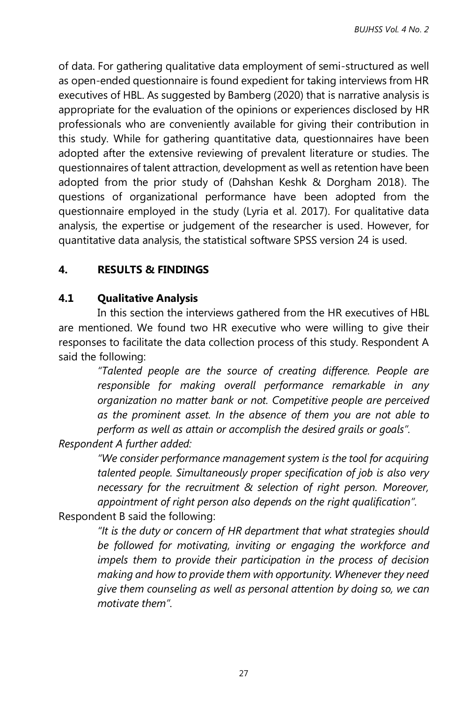of data. For gathering qualitative data employment of semi-structured as well as open-ended questionnaire is found expedient for taking interviews from HR executives of HBL. As suggested by Bamberg (2020) that is narrative analysis is appropriate for the evaluation of the opinions or experiences disclosed by HR professionals who are conveniently available for giving their contribution in this study. While for gathering quantitative data, questionnaires have been adopted after the extensive reviewing of prevalent literature or studies. The questionnaires of talent attraction, development as well as retention have been adopted from the prior study of (Dahshan Keshk & Dorgham 2018). The questions of organizational performance have been adopted from the questionnaire employed in the study (Lyria et al. 2017). For qualitative data analysis, the expertise or judgement of the researcher is used. However, for quantitative data analysis, the statistical software SPSS version 24 is used.

### **4. RESULTS & FINDINGS**

### **4.1 Qualitative Analysis**

In this section the interviews gathered from the HR executives of HBL are mentioned. We found two HR executive who were willing to give their responses to facilitate the data collection process of this study. Respondent A said the following:

*"Talented people are the source of creating difference. People are responsible for making overall performance remarkable in any organization no matter bank or not. Competitive people are perceived as the prominent asset. In the absence of them you are not able to perform as well as attain or accomplish the desired grails or goals".*

*Respondent A further added:*

*"We consider performance management system is the tool for acquiring talented people. Simultaneously proper specification of job is also very necessary for the recruitment & selection of right person. Moreover, appointment of right person also depends on the right qualification".*

Respondent B said the following:

*"It is the duty or concern of HR department that what strategies should be followed for motivating, inviting or engaging the workforce and impels them to provide their participation in the process of decision making and how to provide them with opportunity. Whenever they need give them counseling as well as personal attention by doing so, we can motivate them".*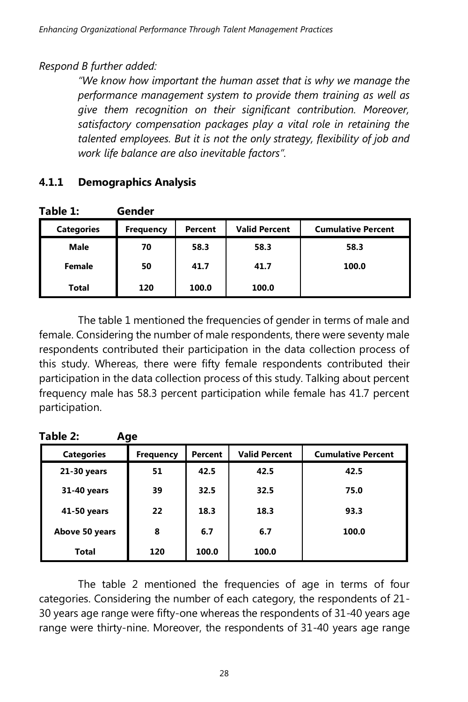### *Respond B further added:*

*"We know how important the human asset that is why we manage the performance management system to provide them training as well as give them recognition on their significant contribution. Moreover, satisfactory compensation packages play a vital role in retaining the talented employees. But it is not the only strategy, flexibility of job and work life balance are also inevitable factors".*

| Table 1:          | Gender           |         |                      |                           |
|-------------------|------------------|---------|----------------------|---------------------------|
| <b>Categories</b> | <b>Frequency</b> | Percent | <b>Valid Percent</b> | <b>Cumulative Percent</b> |
| <b>Male</b>       | 70               | 58.3    | 58.3                 | 58.3                      |
| Female            | 50               | 41.7    | 41.7                 | 100.0                     |
| Total             | 120              | 100.0   | 100.0                |                           |

## **4.1.1 Demographics Analysis**

The table 1 mentioned the frequencies of gender in terms of male and female. Considering the number of male respondents, there were seventy male respondents contributed their participation in the data collection process of this study. Whereas, there were fifty female respondents contributed their participation in the data collection process of this study. Talking about percent frequency male has 58.3 percent participation while female has 41.7 percent participation.

| Table 2: |         |  |  |
|----------|---------|--|--|
| aories   | eauencv |  |  |

| <b>Categories</b> | Frequency | Percent | <b>Valid Percent</b> | <b>Cumulative Percent</b> |
|-------------------|-----------|---------|----------------------|---------------------------|
| 21-30 years       | 51        | 42.5    | 42.5                 | 42.5                      |
| 31-40 years       | 39        | 32.5    | 32.5                 | 75.0                      |
| 41-50 years       | 22        | 18.3    | 18.3                 | 93.3                      |
| Above 50 years    | 8         | 6.7     | 6.7                  | 100.0                     |
| <b>Total</b>      | 120       | 100.0   | 100.0                |                           |

The table 2 mentioned the frequencies of age in terms of four categories. Considering the number of each category, the respondents of 21- 30 years age range were fifty-one whereas the respondents of 31-40 years age range were thirty-nine. Moreover, the respondents of 31-40 years age range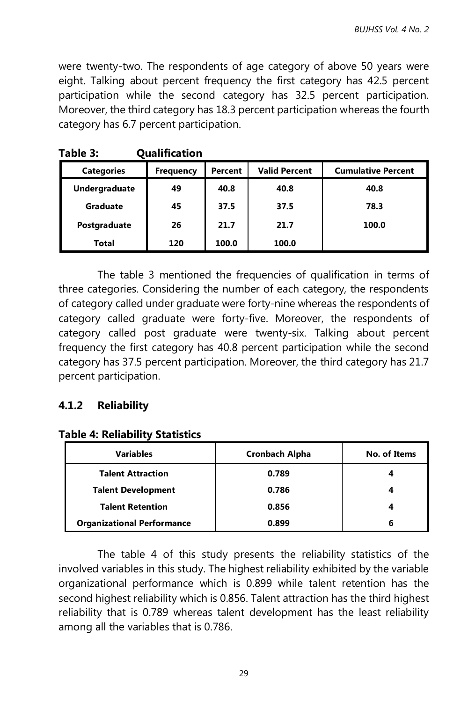were twenty-two. The respondents of age category of above 50 years were eight. Talking about percent frequency the first category has 42.5 percent participation while the second category has 32.5 percent participation. Moreover, the third category has 18.3 percent participation whereas the fourth category has 6.7 percent participation.

| гаріе э:          | Qualification    |         |                      |                           |
|-------------------|------------------|---------|----------------------|---------------------------|
| <b>Categories</b> | <b>Frequency</b> | Percent | <b>Valid Percent</b> | <b>Cumulative Percent</b> |
| Undergraduate     | 49               | 40.8    | 40.8                 | 40.8                      |
| Graduate          | 45               | 37.5    | 37.5                 | 78.3                      |
| Postgraduate      | 26               | 21.7    | 21.7                 | 100.0                     |
| Total             | 120              | 100.0   | 100.0                |                           |

The table 3 mentioned the frequencies of qualification in terms of three categories. Considering the number of each category, the respondents of category called under graduate were forty-nine whereas the respondents of category called graduate were forty-five. Moreover, the respondents of category called post graduate were twenty-six. Talking about percent frequency the first category has 40.8 percent participation while the second category has 37.5 percent participation. Moreover, the third category has 21.7 percent participation.

### **4.1.2 Reliability**

|  |  |  |  |  | <b>Table 4: Reliability Statistics</b> |
|--|--|--|--|--|----------------------------------------|
|--|--|--|--|--|----------------------------------------|

**Table 3: Qualification**

| <b>Variables</b>                  | <b>Cronbach Alpha</b> | No. of Items |
|-----------------------------------|-----------------------|--------------|
| <b>Talent Attraction</b>          | 0.789                 | 4            |
| <b>Talent Development</b>         | 0.786                 |              |
| <b>Talent Retention</b>           | 0.856                 |              |
| <b>Organizational Performance</b> | 0.899                 | 6            |

The table 4 of this study presents the reliability statistics of the involved variables in this study. The highest reliability exhibited by the variable organizational performance which is 0.899 while talent retention has the second highest reliability which is 0.856. Talent attraction has the third highest reliability that is 0.789 whereas talent development has the least reliability among all the variables that is 0.786.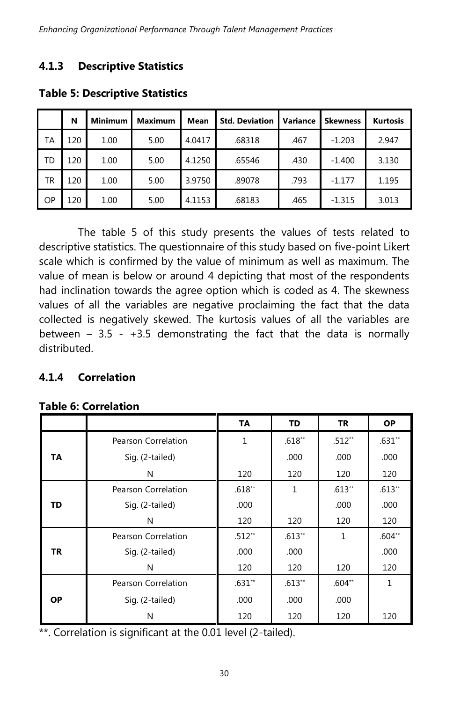# **4.1.3 Descriptive Statistics**

|    | N   | <b>Minimum</b> | Maximum | <b>Mean</b> | <b>Std. Deviation</b> | Variance | <b>Skewness</b> | <b>Kurtosis</b> |
|----|-----|----------------|---------|-------------|-----------------------|----------|-----------------|-----------------|
| TA | 120 | 1.00           | 5.00    | 4.0417      | .68318                | .467     | $-1.203$        | 2.947           |
| TD | 120 | 1.00           | 5.00    | 4.1250      | .65546                | .430     | $-1.400$        | 3.130           |
| TR | 120 | 1.00           | 5.00    | 3.9750      | .89078                | .793     | $-1.177$        | 1.195           |
| OP | 120 | 1.00           | 5.00    | 4.1153      | .68183                | .465     | $-1.315$        | 3.013           |

#### **Table 5: Descriptive Statistics**

The table 5 of this study presents the values of tests related to descriptive statistics. The questionnaire of this study based on five-point Likert scale which is confirmed by the value of minimum as well as maximum. The value of mean is below or around 4 depicting that most of the respondents had inclination towards the agree option which is coded as 4. The skewness values of all the variables are negative proclaiming the fact that the data collected is negatively skewed. The kurtosis values of all the variables are between  $-3.5 - +3.5$  demonstrating the fact that the data is normally distributed.

### **4.1.4 Correlation**

|  |  |  | <b>Table 6: Correlation</b> |
|--|--|--|-----------------------------|
|  |  |  |                             |

|           |                     | TA       | TD       | TR           | <b>OP</b> |
|-----------|---------------------|----------|----------|--------------|-----------|
|           | Pearson Correlation | 1        | $.618**$ | $.512**$     | $.631**$  |
| TA        | Sig. (2-tailed)     |          | .000     | .000         | .000      |
|           | N                   | 120      | 120      | 120          | 120       |
|           | Pearson Correlation | $.618**$ | 1        | $.613**$     | $.613**$  |
| TD        | Sig. (2-tailed)     | .000     |          | .000         | .000      |
|           | N                   | 120      | 120      | 120          | 120       |
|           | Pearson Correlation | $.512**$ | $.613**$ | $\mathbf{1}$ | $.604**$  |
| TR        | Sig. (2-tailed)     | .000     | .000     |              | .000      |
|           | N                   | 120      | 120      | 120          | 120       |
|           | Pearson Correlation | $.631**$ | $.613**$ | $.604**$     | 1         |
| <b>OP</b> | Sig. (2-tailed)     | .000     | .000     | .000         |           |
|           | N                   | 120      | 120      | 120          | 120       |

\*\*. Correlation is significant at the 0.01 level (2-tailed).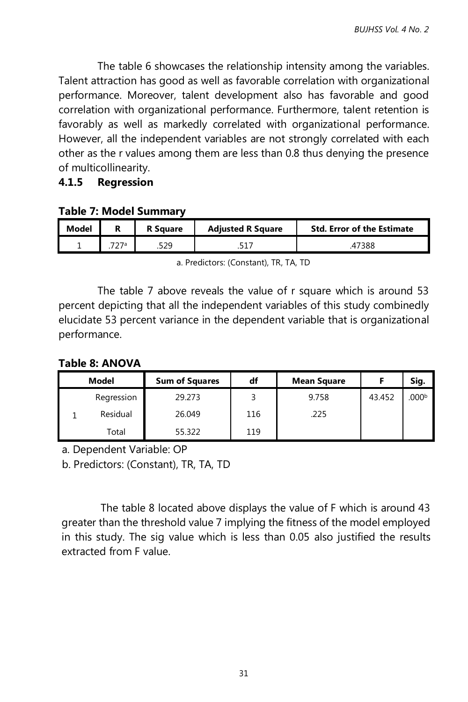The table 6 showcases the relationship intensity among the variables. Talent attraction has good as well as favorable correlation with organizational performance. Moreover, talent development also has favorable and good correlation with organizational performance. Furthermore, talent retention is favorably as well as markedly correlated with organizational performance. However, all the independent variables are not strongly correlated with each other as the r values among them are less than 0.8 thus denying the presence of multicollinearity.

#### **4.1.5 Regression**

#### **Table 7: Model Summary**

| Model | <b>R</b> Square | <b>Adiusted R Square</b> | <b>Std. Error of the Estimate</b> |
|-------|-----------------|--------------------------|-----------------------------------|
| -     | .529            |                          | 47388                             |

a. Predictors: (Constant), TR, TA, TD

The table 7 above reveals the value of r square which is around 53 percent depicting that all the independent variables of this study combinedly elucidate 53 percent variance in the dependent variable that is organizational performance.

#### **Table 8: ANOVA**

| Model      | <b>Sum of Squares</b> | df  | <b>Mean Square</b> |        | Sig.              |
|------------|-----------------------|-----|--------------------|--------|-------------------|
| Regression | 29.273                |     | 9.758              | 43.452 | .000 <sup>b</sup> |
| Residual   | 26.049                | 116 | .225               |        |                   |
| Total      | 55.322                | 119 |                    |        |                   |

a. Dependent Variable: OP

b. Predictors: (Constant), TR, TA, TD

The table 8 located above displays the value of F which is around 43 greater than the threshold value 7 implying the fitness of the model employed in this study. The sig value which is less than 0.05 also justified the results extracted from F value.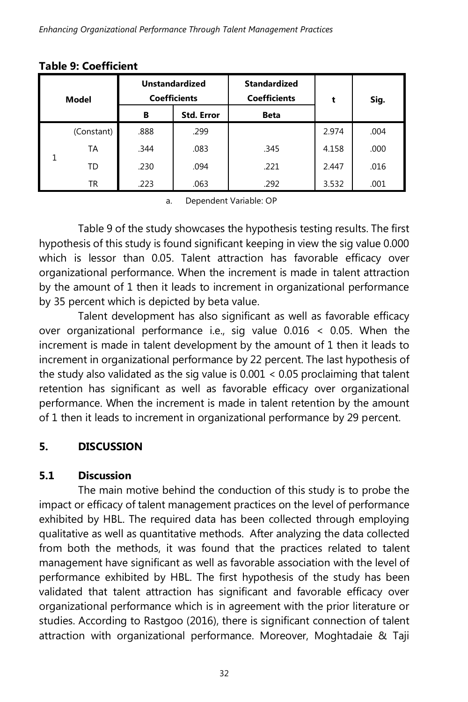| Model |            | <b>Unstandardized</b><br><b>Coefficients</b> |                   | <b>Standardized</b><br><b>Coefficients</b> | t     | Sig. |
|-------|------------|----------------------------------------------|-------------------|--------------------------------------------|-------|------|
|       |            | в                                            | <b>Std. Error</b> | <b>Beta</b>                                |       |      |
|       | (Constant) | .888                                         | .299              |                                            | 2.974 | .004 |
|       | TА         | .344                                         | .083              | .345                                       | 4.158 | .000 |
|       | TD         | .230                                         | .094              | .221                                       | 2.447 | .016 |
|       | TR         | .223                                         | .063              | .292                                       | 3.532 | .001 |

#### **Table 9: Coefficient**

a. Dependent Variable: OP

Table 9 of the study showcases the hypothesis testing results. The first hypothesis of this study is found significant keeping in view the sig value 0.000 which is lessor than 0.05. Talent attraction has favorable efficacy over organizational performance. When the increment is made in talent attraction by the amount of 1 then it leads to increment in organizational performance by 35 percent which is depicted by beta value.

Talent development has also significant as well as favorable efficacy over organizational performance i.e., sig value 0.016 < 0.05. When the increment is made in talent development by the amount of 1 then it leads to increment in organizational performance by 22 percent. The last hypothesis of the study also validated as the sig value is 0.001 < 0.05 proclaiming that talent retention has significant as well as favorable efficacy over organizational performance. When the increment is made in talent retention by the amount of 1 then it leads to increment in organizational performance by 29 percent.

## **5. DISCUSSION**

### **5.1 Discussion**

The main motive behind the conduction of this study is to probe the impact or efficacy of talent management practices on the level of performance exhibited by HBL. The required data has been collected through employing qualitative as well as quantitative methods. After analyzing the data collected from both the methods, it was found that the practices related to talent management have significant as well as favorable association with the level of performance exhibited by HBL. The first hypothesis of the study has been validated that talent attraction has significant and favorable efficacy over organizational performance which is in agreement with the prior literature or studies. According to Rastgoo (2016), there is significant connection of talent attraction with organizational performance. Moreover, Moghtadaie & Taji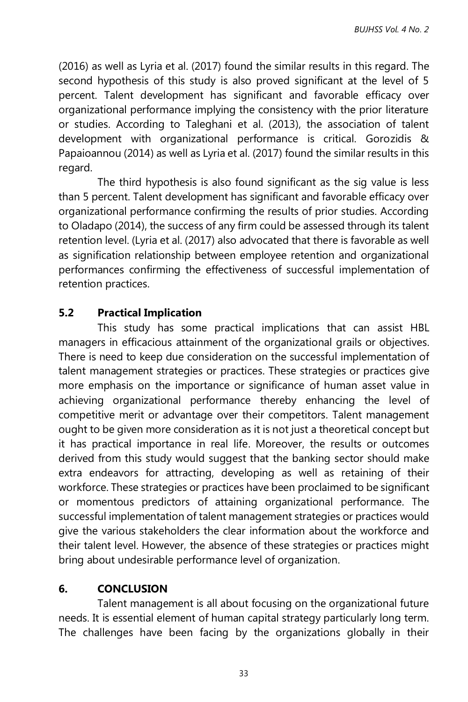(2016) as well as Lyria et al. (2017) found the similar results in this regard. The second hypothesis of this study is also proved significant at the level of 5 percent. Talent development has significant and favorable efficacy over organizational performance implying the consistency with the prior literature or studies. According to Taleghani et al. (2013), the association of talent development with organizational performance is critical. Gorozidis & Papaioannou (2014) as well as Lyria et al. (2017) found the similar results in this regard.

The third hypothesis is also found significant as the sig value is less than 5 percent. Talent development has significant and favorable efficacy over organizational performance confirming the results of prior studies. According to Oladapo (2014), the success of any firm could be assessed through its talent retention level. (Lyria et al. (2017) also advocated that there is favorable as well as signification relationship between employee retention and organizational performances confirming the effectiveness of successful implementation of retention practices.

### **5.2 Practical Implication**

This study has some practical implications that can assist HBL managers in efficacious attainment of the organizational grails or objectives. There is need to keep due consideration on the successful implementation of talent management strategies or practices. These strategies or practices give more emphasis on the importance or significance of human asset value in achieving organizational performance thereby enhancing the level of competitive merit or advantage over their competitors. Talent management ought to be given more consideration as it is not just a theoretical concept but it has practical importance in real life. Moreover, the results or outcomes derived from this study would suggest that the banking sector should make extra endeavors for attracting, developing as well as retaining of their workforce. These strategies or practices have been proclaimed to be significant or momentous predictors of attaining organizational performance. The successful implementation of talent management strategies or practices would give the various stakeholders the clear information about the workforce and their talent level. However, the absence of these strategies or practices might bring about undesirable performance level of organization.

### **6. CONCLUSION**

Talent management is all about focusing on the organizational future needs. It is essential element of human capital strategy particularly long term. The challenges have been facing by the organizations globally in their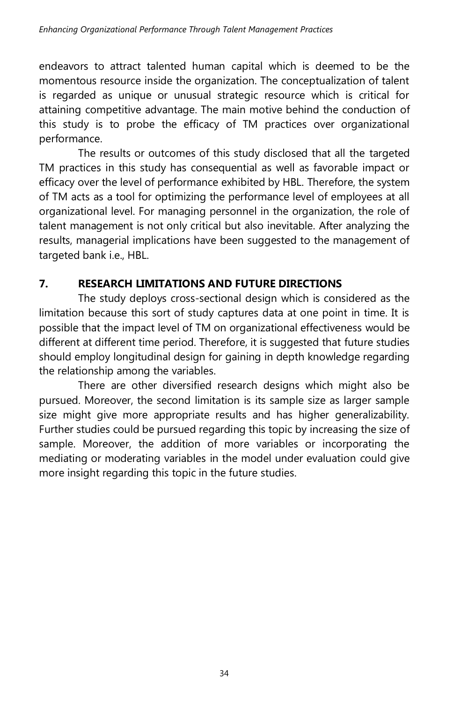endeavors to attract talented human capital which is deemed to be the momentous resource inside the organization. The conceptualization of talent is regarded as unique or unusual strategic resource which is critical for attaining competitive advantage. The main motive behind the conduction of this study is to probe the efficacy of TM practices over organizational performance.

The results or outcomes of this study disclosed that all the targeted TM practices in this study has consequential as well as favorable impact or efficacy over the level of performance exhibited by HBL. Therefore, the system of TM acts as a tool for optimizing the performance level of employees at all organizational level. For managing personnel in the organization, the role of talent management is not only critical but also inevitable. After analyzing the results, managerial implications have been suggested to the management of targeted bank i.e., HBL.

# **7. RESEARCH LIMITATIONS AND FUTURE DIRECTIONS**

The study deploys cross-sectional design which is considered as the limitation because this sort of study captures data at one point in time. It is possible that the impact level of TM on organizational effectiveness would be different at different time period. Therefore, it is suggested that future studies should employ longitudinal design for gaining in depth knowledge regarding the relationship among the variables.

There are other diversified research designs which might also be pursued. Moreover, the second limitation is its sample size as larger sample size might give more appropriate results and has higher generalizability. Further studies could be pursued regarding this topic by increasing the size of sample. Moreover, the addition of more variables or incorporating the mediating or moderating variables in the model under evaluation could give more insight regarding this topic in the future studies.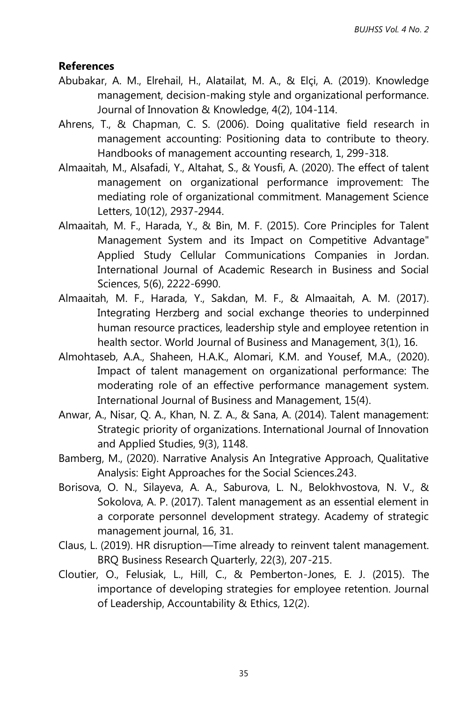#### **References**

- Abubakar, A. M., Elrehail, H., Alatailat, M. A., & Elçi, A. (2019). Knowledge management, decision-making style and organizational performance. Journal of Innovation & Knowledge, 4(2), 104-114.
- Ahrens, T., & Chapman, C. S. (2006). Doing qualitative field research in management accounting: Positioning data to contribute to theory. Handbooks of management accounting research, 1, 299-318.
- Almaaitah, M., Alsafadi, Y., Altahat, S., & Yousfi, A. (2020). The effect of talent management on organizational performance improvement: The mediating role of organizational commitment. Management Science Letters, 10(12), 2937-2944.
- Almaaitah, M. F., Harada, Y., & Bin, M. F. (2015). Core Principles for Talent Management System and its Impact on Competitive Advantage" Applied Study Cellular Communications Companies in Jordan. International Journal of Academic Research in Business and Social Sciences, 5(6), 2222-6990.
- Almaaitah, M. F., Harada, Y., Sakdan, M. F., & Almaaitah, A. M. (2017). Integrating Herzberg and social exchange theories to underpinned human resource practices, leadership style and employee retention in health sector. World Journal of Business and Management, 3(1), 16.
- Almohtaseb, A.A., Shaheen, H.A.K., Alomari, K.M. and Yousef, M.A., (2020). Impact of talent management on organizational performance: The moderating role of an effective performance management system. International Journal of Business and Management, 15(4).
- Anwar, A., Nisar, Q. A., Khan, N. Z. A., & Sana, A. (2014). Talent management: Strategic priority of organizations. International Journal of Innovation and Applied Studies, 9(3), 1148.
- Bamberg, M., (2020). Narrative Analysis An Integrative Approach, Qualitative Analysis: Eight Approaches for the Social Sciences.243.
- Borisova, O. N., Silayeva, A. A., Saburova, L. N., Belokhvostova, N. V., & Sokolova, A. P. (2017). Talent management as an essential element in a corporate personnel development strategy. Academy of strategic management journal, 16, 31.
- Claus, L. (2019). HR disruption—Time already to reinvent talent management. BRQ Business Research Quarterly, 22(3), 207-215.
- Cloutier, O., Felusiak, L., Hill, C., & Pemberton-Jones, E. J. (2015). The importance of developing strategies for employee retention. Journal of Leadership, Accountability & Ethics, 12(2).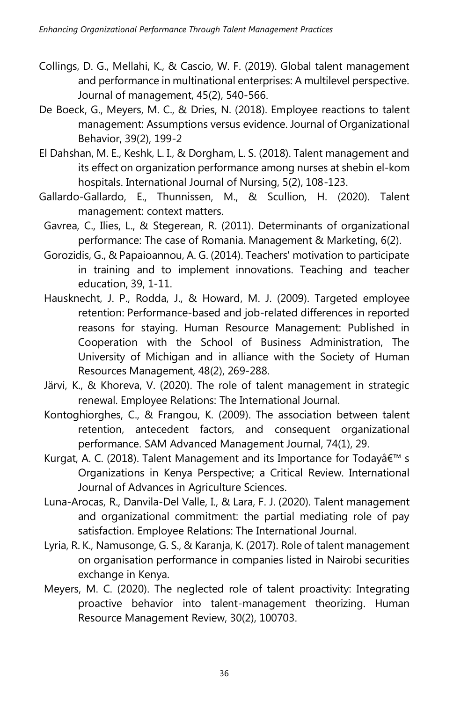- Collings, D. G., Mellahi, K., & Cascio, W. F. (2019). Global talent management and performance in multinational enterprises: A multilevel perspective. Journal of management, 45(2), 540-566.
- De Boeck, G., Meyers, M. C., & Dries, N. (2018). Employee reactions to talent management: Assumptions versus evidence. Journal of Organizational Behavior, 39(2), 199-2
- El Dahshan, M. E., Keshk, L. I., & Dorgham, L. S. (2018). Talent management and its effect on organization performance among nurses at shebin el-kom hospitals. International Journal of Nursing, 5(2), 108-123.
- Gallardo-Gallardo, E., Thunnissen, M., & Scullion, H. (2020). Talent management: context matters.
- Gavrea, C., Ilies, L., & Stegerean, R. (2011). Determinants of organizational performance: The case of Romania. Management & Marketing, 6(2).
- Gorozidis, G., & Papaioannou, A. G. (2014). Teachers' motivation to participate in training and to implement innovations. Teaching and teacher education, 39, 1-11.
- Hausknecht, J. P., Rodda, J., & Howard, M. J. (2009). Targeted employee retention: Performance‐based and job‐related differences in reported reasons for staying. Human Resource Management: Published in Cooperation with the School of Business Administration, The University of Michigan and in alliance with the Society of Human Resources Management, 48(2), 269-288.
- Järvi, K., & Khoreva, V. (2020). The role of talent management in strategic renewal. Employee Relations: The International Journal.
- Kontoghiorghes, C., & Frangou, K. (2009). The association between talent retention, antecedent factors, and consequent organizational performance. SAM Advanced Management Journal, 74(1), 29.
- Kurgat, A. C. (2018). Talent Management and its Importance for Todayâ€<sup>™</sup> s Organizations in Kenya Perspective; a Critical Review. International Journal of Advances in Agriculture Sciences.
- Luna-Arocas, R., Danvila-Del Valle, I., & Lara, F. J. (2020). Talent management and organizational commitment: the partial mediating role of pay satisfaction. Employee Relations: The International Journal.
- Lyria, R. K., Namusonge, G. S., & Karanja, K. (2017). Role of talent management on organisation performance in companies listed in Nairobi securities exchange in Kenya.
- Meyers, M. C. (2020). The neglected role of talent proactivity: Integrating proactive behavior into talent-management theorizing. Human Resource Management Review, 30(2), 100703.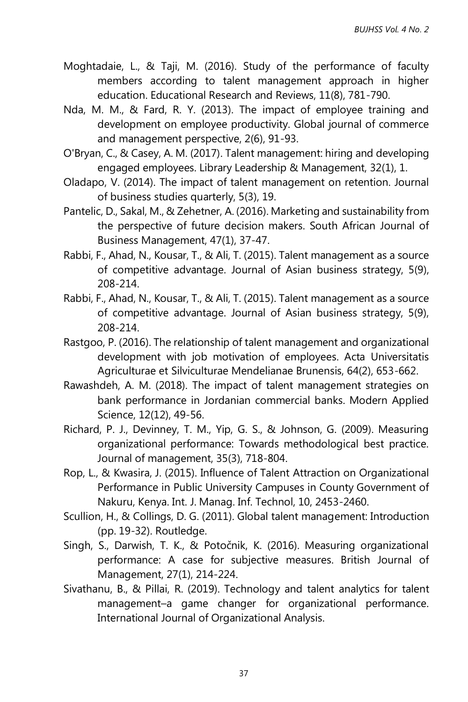- Moghtadaie, L., & Taji, M. (2016). Study of the performance of faculty members according to talent management approach in higher education. Educational Research and Reviews, 11(8), 781-790.
- Nda, M. M., & Fard, R. Y. (2013). The impact of employee training and development on employee productivity. Global journal of commerce and management perspective, 2(6), 91-93.
- O'Bryan, C., & Casey, A. M. (2017). Talent management: hiring and developing engaged employees. Library Leadership & Management, 32(1), 1.
- Oladapo, V. (2014). The impact of talent management on retention. Journal of business studies quarterly, 5(3), 19.
- Pantelic, D., Sakal, M., & Zehetner, A. (2016). Marketing and sustainability from the perspective of future decision makers. South African Journal of Business Management, 47(1), 37-47.
- Rabbi, F., Ahad, N., Kousar, T., & Ali, T. (2015). Talent management as a source of competitive advantage. Journal of Asian business strategy, 5(9), 208-214.
- Rabbi, F., Ahad, N., Kousar, T., & Ali, T. (2015). Talent management as a source of competitive advantage. Journal of Asian business strategy, 5(9), 208-214.
- Rastgoo, P. (2016). The relationship of talent management and organizational development with job motivation of employees. Acta Universitatis Agriculturae et Silviculturae Mendelianae Brunensis, 64(2), 653-662.
- Rawashdeh, A. M. (2018). The impact of talent management strategies on bank performance in Jordanian commercial banks. Modern Applied Science, 12(12), 49-56.
- Richard, P. J., Devinney, T. M., Yip, G. S., & Johnson, G. (2009). Measuring organizational performance: Towards methodological best practice. Journal of management, 35(3), 718-804.
- Rop, L., & Kwasira, J. (2015). Influence of Talent Attraction on Organizational Performance in Public University Campuses in County Government of Nakuru, Kenya. Int. J. Manag. Inf. Technol, 10, 2453-2460.
- Scullion, H., & Collings, D. G. (2011). Global talent management: Introduction (pp. 19-32). Routledge.
- Singh, S., Darwish, T. K., & Potočnik, K. (2016). Measuring organizational performance: A case for subjective measures. British Journal of Management, 27(1), 214-224.
- Sivathanu, B., & Pillai, R. (2019). Technology and talent analytics for talent management–a game changer for organizational performance. International Journal of Organizational Analysis.